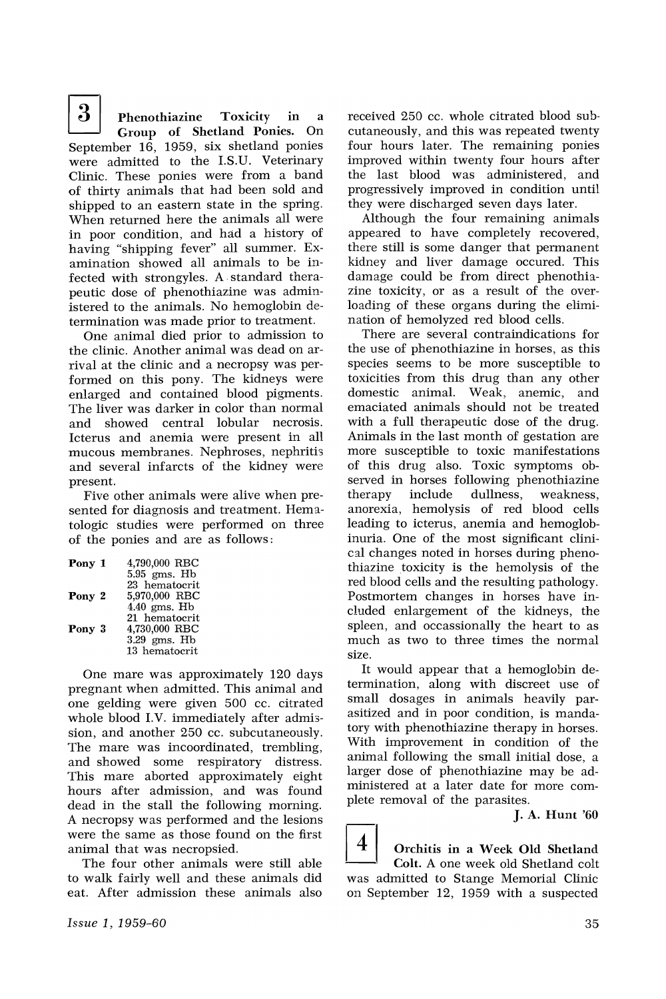$\begin{array}{c|cc} 3 & \text{Phenothiazine} & \text{Toxicity} & \text{in} & a \\ \text{Croup} & \text{of} & \text{Shetland Ponies.} & \text{On} \end{array}$ Group of Shetland Ponies. September 16, 1959, six shetland ponies were admitted to the I.S.U. Veterinary Clinic. These ponies were from a band of thirty animals that had been sold and shipped to an eastern state in the spring. When returned here the animals all were in poor condition, and had a history of having "shipping fever" all summer. Examination showed all animals to be infected with strongyles. A· standard therapeutic dose of phenothiazine was administered to the animals. No hemoglobin determination was made prior to treatment.

One animal died prior to admission to the clinic. Another animal was dead on arrival at the clinic and a necropsy was performed on this pony. The kidneys were enlarged and contained blood pigments. The liver was darker in color than normal and showed central lobular necrosis. Icterus and anemia were present in all mucous membranes. Nephroses, nephritis and several infarcts of the kidney were present.

Five other animals were alive when presented for diagnosis and treatment. Hematologic studies were performed on three of the ponies and are as follows:

| Pony 1 | 4,790,000 RBC  |
|--------|----------------|
|        | $5.95$ gms. Hb |
|        | 23 hematocrit  |
| Pony 2 | 5,970,000 RBC  |
|        | $4.40$ gms. Hb |
|        | 21 hematocrit  |
| Pony 3 | 4,730,000 RBC  |
|        | $3.29$ gms. Hb |
|        | 13 hematocrit  |

One mare was approximately 120 days pregnant when admitted. This animal and one gelding were given 500 cc. citrated whole blood I.V. immediately after admission, and another 250 cc. subcutaneously. The mare was incoordinated, trembling, and showed some respiratory distress. This mare aborted approximately eight hours after admission, and was found dead in the stall the following morning. A necropsy was performed and the lesions were the same as those found on the first animal that was necropsied.

The four other animals were still able to walk fairly well and these animals did eat. After admission these animals also received 250 cc. whole citrated blood subcutaneously, and this was repeated twenty four hours later. The remaining ponies improved within twenty four hours after the last blood was administered, and progressively improved in condition until they were discharged seven days later.

Although the four remaining animals appeared to have completely recovered, there still is some danger that permanent kidney and liver damage occured. This damage could be from direct phenothiazine toxicity, or as a result of the overloading of these organs during the elimination of hemolyzed red blood cells.

There are several contraindications for the use of phenothiazine in horses, as this species seems to be more susceptible to toxicities from this drug than any other domestic animal. Weak, anemic, and emaciated animals should not be treated with a full therapeutic dose of the drug. Animals in the last month of gestation are more susceptible to toxic manifestations of this drug also. Toxic symptoms observed in horses following phenothiazine<br>therapy include dullness, weakness, include dullness, weakness, anorexia, hemolysis of red blood cells leading to icterus, anemia and hemoglobinuria. One of the most significant clinical changes noted in horses during phenothiazine toxicity is the hemolysis of the red blood cells and the resulting pathology. Postmortem changes in horses have included enlargement of the kidneys, the spleen, and occassionally the heart to as much as two to three times the normal size.

It would appear that a hemoglobin determination, along with discreet use of small dosages in animals heavily parasitized and in poor condition, is mandatory with phenothiazine therapy in horses. With improvement in condition of the animal following the small initial dose, a larger dose of phenothiazine may be administered at a later date for more complete removal of the parasites.

J. A. Hunt '60

 $4\vert$  Orchitis in a Week Old Shetland Colt. A one week old Shetland colt was admitted to Stange Memorial Clinic on September 12, 1959 with a suspected